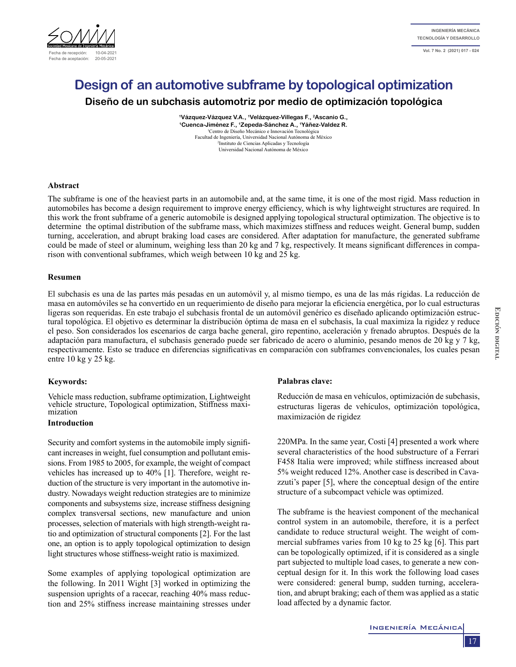

# **Design of an automotive subframe by topological optimization**

**Diseño de un subchasis automotriz por medio de optimización topológica**

**1Vázquez-Vázquez V.A., 1Velázquez-Villegas F., 2Ascanio G., 1Cuenca-Jiménez F., 1Zepeda-Sánchez A., 1Yáñez-Valdez R.** 1 Centro de Diseño Mecánico e Innovación Tecnológica Facultad de Ingeniería, Universidad Nacional Autónoma de México 2 <sup>2</sup>Instituto de Ciencias Aplicadas y Tecnología Universidad Nacional Autónoma de México

# **Abstract**

The subframe is one of the heaviest parts in an automobile and, at the same time, it is one of the most rigid. Mass reduction in automobiles has become a design requirement to improve energy efficiency, which is why lightweight structures are required. In this work the front subframe of a generic automobile is designed applying topological structural optimization. The objective is to determine the optimal distribution of the subframe mass, which maximizes stiffness and reduces weight. General bump, sudden turning, acceleration, and abrupt braking load cases are considered. After adaptation for manufacture, the generated subframe could be made of steel or aluminum, weighing less than 20 kg and 7 kg, respectively. It means significant differences in comparison with conventional subframes, which weigh between 10 kg and 25 kg.

# **Resumen**

El subchasis es una de las partes más pesadas en un automóvil y, al mismo tiempo, es una de las más rígidas. La reducción de masa en automóviles se ha convertido en un requerimiento de diseño para mejorar la eficiencia energética, por lo cual estructuras ligeras son requeridas. En este trabajo el subchasis frontal de un automóvil genérico es diseñado aplicando optimización estructural topológica. El objetivo es determinar la distribución óptima de masa en el subchasis, la cual maximiza la rigidez y reduce el peso. Son considerados los escenarios de carga bache general, giro repentino, aceleración y frenado abruptos. Después de la adaptación para manufactura, el subchasis generado puede ser fabricado de acero o aluminio, pesando menos de 20 kg y 7 kg, respectivamente. Esto se traduce en diferencias significativas en comparación con subframes convencionales, los cuales pesan entre 10 kg y 25 kg.

# **Keywords:**

Vehicle mass reduction, subframe optimization, Lightweight vehicle structure, Topological optimization, Stiffness maxi- mization

# **Introduction**

Security and comfort systems in the automobile imply significant increases in weight, fuel consumption and pollutant emissions. From 1985 to 2005, for example, the weight of compact vehicles has increased up to 40% [1]. Therefore, weight reduction of the structure is very important in the automotive industry. Nowadays weight reduction strategies are to minimize components and subsystems size, increase stiffness designing complex transversal sections, new manufacture and union processes, selection of materials with high strength-weight ratio and optimization of structural components [2]. For the last one, an option is to apply topological optimization to design light structures whose stiffness-weight ratio is maximized.

Some examples of applying topological optimization are the following. In 2011 Wight [3] worked in optimizing the suspension uprights of a racecar, reaching 40% mass reduction and 25% stiffness increase maintaining stresses under

# **Palabras clave:**

Reducción de masa en vehículos, optimización de subchasis, estructuras ligeras de vehículos, optimización topológica, maximización de rigidez

220MPa. In the same year, Costi [4] presented a work where several characteristics of the hood substructure of a Ferrari F458 Italia were improved; while stiffness increased about 5% weight reduced 12%. Another case is described in Cavazzuti's paper [5], where the conceptual design of the entire structure of a subcompact vehicle was optimized.

The subframe is the heaviest component of the mechanical control system in an automobile, therefore, it is a perfect candidate to reduce structural weight. The weight of commercial subframes varies from 10 kg to 25 kg [6]. This part can be topologically optimized, if it is considered as a single part subjected to multiple load cases, to generate a new conceptual design for it. In this work the following load cases were considered: general bump, sudden turning, acceleration, and abrupt braking; each of them was applied as a static load affected by a dynamic factor.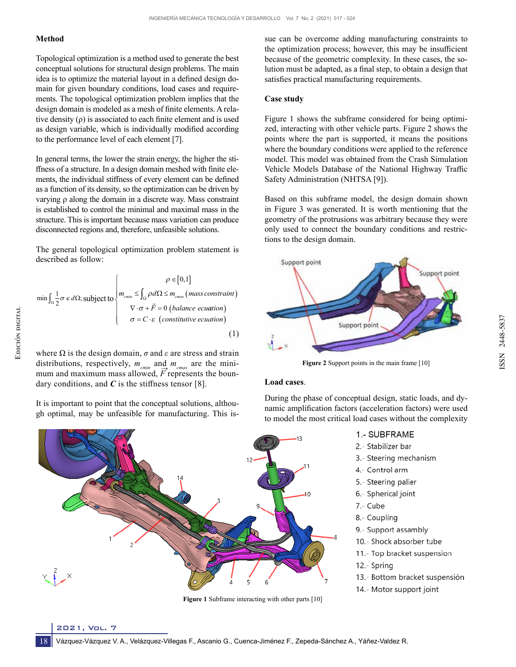# **Method**

Topological optimization is a method used to generate the best conceptual solutions for structural design problems. The main idea is to optimize the material layout in a defined design domain for given boundary conditions, load cases and requirements. The topological optimization problem implies that the design domain is modeled as a mesh of finite elements. A relative density (ρ) is associated to each finite element and is used as design variable, which is individually modified according to the performance level of each element [7].

In general terms, the lower the strain energy, the higher the stiffness of a structure. In a design domain meshed with finite elements, the individual stiffness of every element can be defined as a function of its density, so the optimization can be driven by varying ρ along the domain in a discrete way. Mass constraint is established to control the minimal and maximal mass in the structure. This is important because mass variation can produce disconnected regions and, therefore, unfeasible solutions.

The general topological optimization problem statement is described as follow:

$$
\min \int_{\Omega} \frac{1}{2} \sigma \, \epsilon \, d\Omega; \text{ subject to} \begin{cases} \rho \in [0,1] \\ m_{\text{cmin}} \leq \int_{\Omega} \rho d\Omega \leq m_{\text{cmax}} \, (\text{mass constraint}) \\ \nabla \cdot \sigma + \vec{F} = 0 \, (\text{balance equation}) \\ \sigma = C \cdot \epsilon \, (\text{constitutive equation}) \end{cases} \tag{1}
$$

where  $\Omega$  is the design domain,  $\sigma$  and  $\varepsilon$  are stress and strain distributions, respectively,  $m_{cmn}$  and  $m_{cm\alpha}$  are the minimum and maximum mass allowed, *F* represents the boundary conditions, and  $C$  is the stiffness tensor [8].

It is important to point that the conceptual solutions, although optimal, may be unfeasible for manufacturing. This is-

**Figure 1** Subframe interacting with other parts [10]

sue can be overcome adding manufacturing constraints to the optimization process; however, this may be insufficient because of the geometric complexity. In these cases, the solution must be adapted, as a final step, to obtain a design that satisfies practical manufacturing requirements.

# **Case study**

Figure 1 shows the subframe considered for being optimized, interacting with other vehicle parts. Figure 2 shows the points where the part is supported, it means the positions where the boundary conditions were applied to the reference model. This model was obtained from the Crash Simulation Vehicle Models Database of the National Highway Traffic Safety Administration (NHTSA [9]).

Based on this subframe model, the design domain shown in Figure 3 was generated. It is worth mentioning that the geometry of the protrusions was arbitrary because they were only used to connect the boundary conditions and restrictions to the design domain.



**Figure 2** Support points in the main frame [10]

#### **Load cases**.

During the phase of conceptual design, static loads, and dynamic amplification factors (acceleration factors) were used to model the most critical load cases without the complexity

- 1 SUBFRAME
- 2.- Stabilizer bar
- 3.- Steering mechanism
- 4.- Control arm
- 5.- Steering palier
- 6.- Spherical joint
- 7.- Cube
- 8.- Coupling
- 9.- Support assambly
- 10.- Shock absorber tube
- 11.- Top bracket suspension
- 12.- Spring
- 13.- Bottom bracket suspensión
- 14.- Motor support joint

2021, Vol. 7

18

ISSN 2448-5837

SSN 2448-5837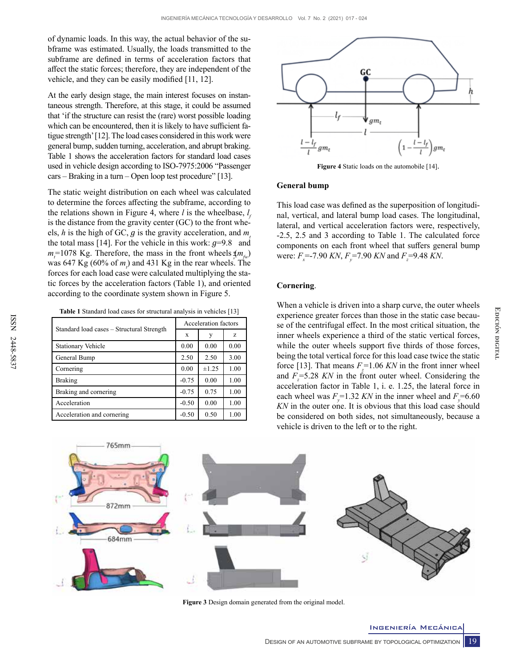of dynamic loads. In this way, the actual behavior of the subframe was estimated. Usually, the loads transmitted to the subframe are defined in terms of acceleration factors that affect the static forces; therefore, they are independent of the vehicle, and they can be easily modified [11, 12].

At the early design stage, the main interest focuses on instantaneous strength. Therefore, at this stage, it could be assumed that 'if the structure can resist the (rare) worst possible loading which can be encountered, then it is likely to have sufficient fatigue strength' [12]. The load cases considered in this work were general bump, sudden turning, acceleration, and abrupt braking. Table 1 shows the acceleration factors for standard load cases used in vehicle design according to ISO-7975:2006 "Passenger  $cars - Braking in a turn - Open loop test procedure" [13].$ 

The static weight distribution on each wheel was calculated to determine the forces affecting the subframe, according to the relations shown in Figure 4, where *l* is the wheelbase, *l f* is the distance from the gravity center (GC) to the front wheels, *h* is the high of GC, *g* is the gravity acceleration, and *m* the total mass [14]. For the vehicle in this work:  $g=9.8$  and  $m_t$ =1078 Kg. Therefore, the mass in the front wheels  $\oint_{\mathcal{F}} m_{fw}$ ) was 647 Kg (60% of  $m_l$ ) and 431 Kg in the rear wheels. The forces for each load case were calculated multiplying the static forces by the acceleration factors (Table 1), and oriented according to the coordinate system shown in Figure 5.

**Table 1** Standard load cases for structural analysis in vehicles [13]

| Standard load cases – Structural Strength | Acceleration factors |       |      |
|-------------------------------------------|----------------------|-------|------|
|                                           | X                    | у     | z    |
| Stationary Vehicle                        | 0.00                 | 0.00  | 0.00 |
| General Bump                              | 2.50                 | 2.50  | 3.00 |
| Cornering                                 | 0.00                 | ±1.25 | 1.00 |
| <b>Braking</b>                            | $-0.75$              | 0.00  | 1.00 |
| Braking and cornering                     | $-0.75$              | 0.75  | 1.00 |
| Acceleration                              | $-0.50$              | 0.00  | 1.00 |
| Acceleration and cornering                | $-0.50$              | 0.50  | 1.00 |



**Figure 4** Static loads on the automobile [14].

#### **General bump**

This load case was defined as the superposition of longitudinal, vertical, and lateral bump load cases. The longitudinal, lateral, and vertical acceleration factors were, respectively, -2.5, 2.5 and 3 according to Table 1. The calculated force components on each front wheel that suffers general bump were:  $F_x$ =-7.90 *KN*,  $F_y$ =7.90 *KN* and  $F_z$ =9.48 *KN*.

### **Cornering**.

When a vehicle is driven into a sharp curve, the outer wheels experience greater forces than those in the static case because of the centrifugal effect. In the most critical situation, the inner wheels experience a third of the static vertical forces, while the outer wheels support five thirds of those forces, being the total vertical force for this load case twice the static force [13]. That means  $F_z = 1.06$  KN in the front inner wheel and *F*<sub>z</sub>=5.28 *KN* in the front outer wheel. Considering the acceleration factor in Table 1, i. e. 1.25, the lateral force in each wheel was  $F_y = 1.32$  *KN* in the inner wheel and  $F_y = 6.60$ *KN* in the outer one. It is obvious that this load case should be considered on both sides, not simultaneously, because a vehicle is driven to the left or to the right.



**Figure 3** Design domain generated from the original model.

**EDICIÓN DIGITAL Edición digital**

Ingeniería Mecánica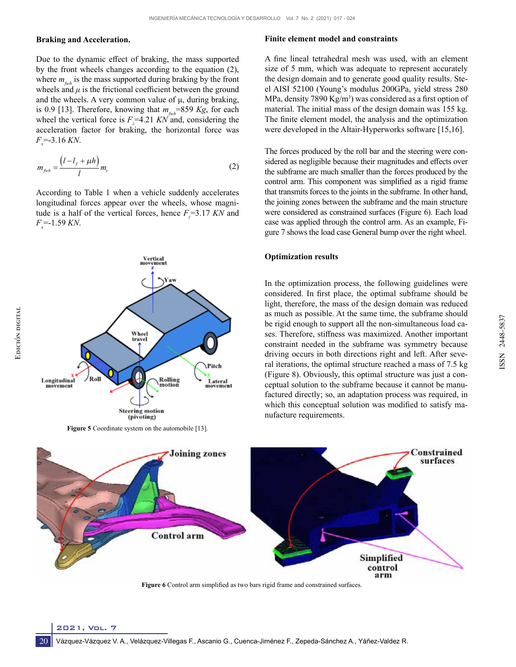#### **Braking and Acceleration.**

Due to the dynamic effect of braking, the mass supported by the front wheels changes according to the equation (2), where  $m_{f_{\text{w}}b}$  is the mass supported during braking by the front wheels and  $\mu$  is the frictional coefficient between the ground and the wheels. A very common value of  $\mu$ , during braking, is 0.9 [13]. Therefore, knowing that  $m_{f_{\psi b}}$ =859 *Kg*, for each wheel the vertical force is  $F_z = 4.21$  KN and, considering the acceleration factor for braking, the horizontal force was  $F_x = -3.16$  KN.

$$
m_{f_{\mathcal{W}b}} = \frac{\left(l - l_f + \mu h\right)}{l} m_{\mathcal{V}}
$$
 (2)

According to Table 1 when a vehicle suddenly accelerates longitudinal forces appear over the wheels, whose magnitude is a half of the vertical forces, hence  $F_z = 3.17$  *KN* and *Fx* =-1.59 *KN*.



(pivoting) **Figure 5** Coordinate system on the automobile [13].

#### **Finite element model and constraints**

A fine lineal tetrahedral mesh was used, with an element size of 5 mm, which was adequate to represent accurately the design domain and to generate good quality results. Steel AISI 52100 (Young's modulus 200GPa, yield stress 280 MPa, density 7890 Kg/m<sup>3</sup>) was considered as a first option of material. The initial mass of the design domain was 155 kg. The finite element model, the analysis and the optimization were developed in the Altair-Hyperworks software [15,16].

The forces produced by the roll bar and the steering were considered as negligible because their magnitudes and effects over the subframe are much smaller than the forces produced by the control arm. This component was simplified as a rigid frame that transmits forces to the joints in the subframe. In other hand, the joining zones between the subframe and the main structure were considered as constrained surfaces (Figure 6). Each load case was applied through the control arm. As an example, Figure 7 shows the load case General bump over the right wheel.

#### **Optimization results**

In the optimization process, the following guidelines were considered. In first place, the optimal subframe should be light, therefore, the mass of the design domain was reduced as much as possible. At the same time, the subframe should be rigid enough to support all the non-simultaneous load cases. Therefore, stiffness was maximized. Another important constraint needed in the subframe was symmetry because driving occurs in both directions right and left. After several iterations, the optimal structure reached a mass of 7.5 kg (Figure 8). Obviously, this optimal structure was just a conceptual solution to the subframe because it cannot be manufactured directly; so, an adaptation process was required, in which this conceptual solution was modified to satisfy manufacture requirements.

ISSN 2448-5837

SSN 2448-5837



**Figure 6** Control arm simplified as two bars rigid frame and constrained surfaces.

20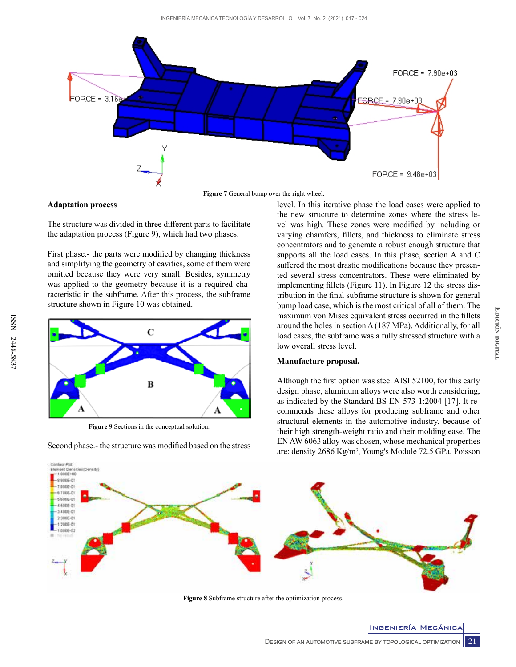

**Figure 7** General bump over the right wheel.

# **Adaptation process**

The structure was divided in three different parts to facilitate the adaptation process (Figure 9), which had two phases.

First phase.- the parts were modified by changing thickness and simplifying the geometry of cavities, some of them were omitted because they were very small. Besides, symmetry was applied to the geometry because it is a required characteristic in the subframe. After this process, the subframe structure shown in Figure 10 was obtained.



**Figure 9** Sections in the conceptual solution.

Second phase.- the structure was modified based on the stress

level. In this iterative phase the load cases were applied to the new structure to determine zones where the stress level was high. These zones were modified by including or varying chamfers, fillets, and thickness to eliminate stress concentrators and to generate a robust enough structure that supports all the load cases. In this phase, section A and C suffered the most drastic modifications because they presented several stress concentrators. These were eliminated by implementing fillets (Figure 11). In Figure 12 the stress distribution in the final subframe structure is shown for general bump load case, which is the most critical of all of them. The maximum von Mises equivalent stress occurred in the fillets around the holes in section A (187 MPa). Additionally, for all load cases, the subframe was a fully stressed structure with a low overall stress level.

# **Manufacture proposal.**

Although the first option was steel AISI 52100, for this early design phase, aluminum alloys were also worth considering, as indicated by the Standard BS EN 573-1:2004 [17]. It recommends these alloys for producing subframe and other structural elements in the automotive industry, because of their high strength-weight ratio and their molding ease. The EN AW 6063 alloy was chosen, whose mechanical properties are: density 2686 Kg/m3 , Young's Module 72.5 GPa, Poisson



**Figure 8** Subframe structure after the optimization process.

Ingeniería Mecánica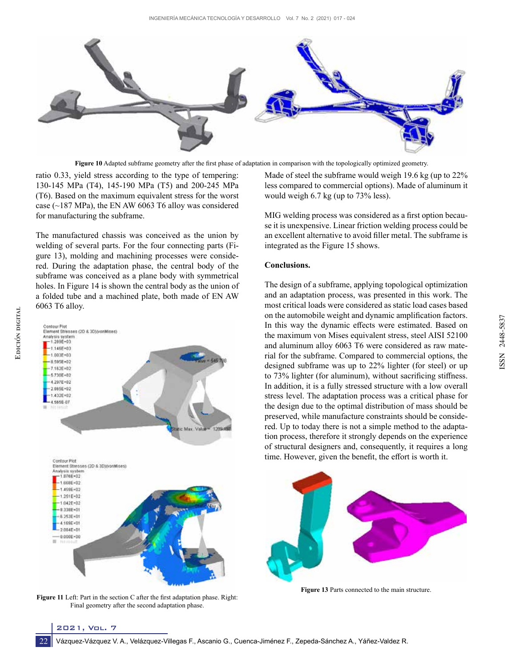

**Figure 10** Adapted subframe geometry after the first phase of adaptation in comparison with the topologically optimized geometry.

ratio 0.33, yield stress according to the type of tempering: 130-145 MPa (T4), 145-190 MPa (T5) and 200-245 MPa (T6). Based on the maximum equivalent stress for the worst case ( $\sim$ 187 MPa), the EN AW 6063 T6 alloy was considered for manufacturing the subframe.

The manufactured chassis was conceived as the union by welding of several parts. For the four connecting parts (Figure 13), molding and machining processes were considered. During the adaptation phase, the central body of the subframe was conceived as a plane body with symmetrical holes. In Figure 14 is shown the central body as the union of a folded tube and a machined plate, both made of EN AW 6063 T6 alloy.



**Figure 11** Left: Part in the section C after the first adaptation phase. Right: Final geometry after the second adaptation phase.

Made of steel the subframe would weigh 19.6 kg (up to 22% less compared to commercial options). Made of aluminum it would weigh 6.7 kg (up to 73% less).

MIG welding process was considered as a first option because it is unexpensive. Linear friction welding process could be an excellent alternative to avoid filler metal. The subframe is integrated as the Figure 15 shows.

## **Conclusions.**

The design of a subframe, applying topological optimization and an adaptation process, was presented in this work. The most critical loads were considered as static load cases based on the automobile weight and dynamic amplification factors. In this way the dynamic effects were estimated. Based on the maximum von Mises equivalent stress, steel AISI 52100 and aluminum alloy 6063 T6 were considered as raw material for the subframe. Compared to commercial options, the designed subframe was up to 22% lighter (for steel) or up to 73% lighter (for aluminum), without sacrificing stiffness. In addition, it is a fully stressed structure with a low overall stress level. The adaptation process was a critical phase for the design due to the optimal distribution of mass should be preserved, while manufacture constraints should be considered. Up to today there is not a simple method to the adaptation process, therefore it strongly depends on the experience of structural designers and, consequently, it requires a long time. However, given the benefit, the effort is worth it.



**Figure 13** Parts connected to the main structure.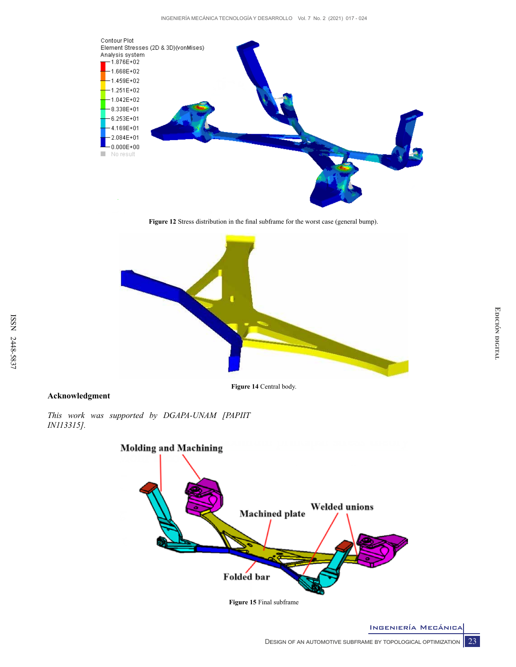

**Figure 12** Stress distribution in the final subframe for the worst case (general bump).



# **Acknowledgment**

*This work was supported by DGAPA-UNAM [PAPIIT IN113315].*



**Figure 15** Final subframe

Ingeniería Mecánica